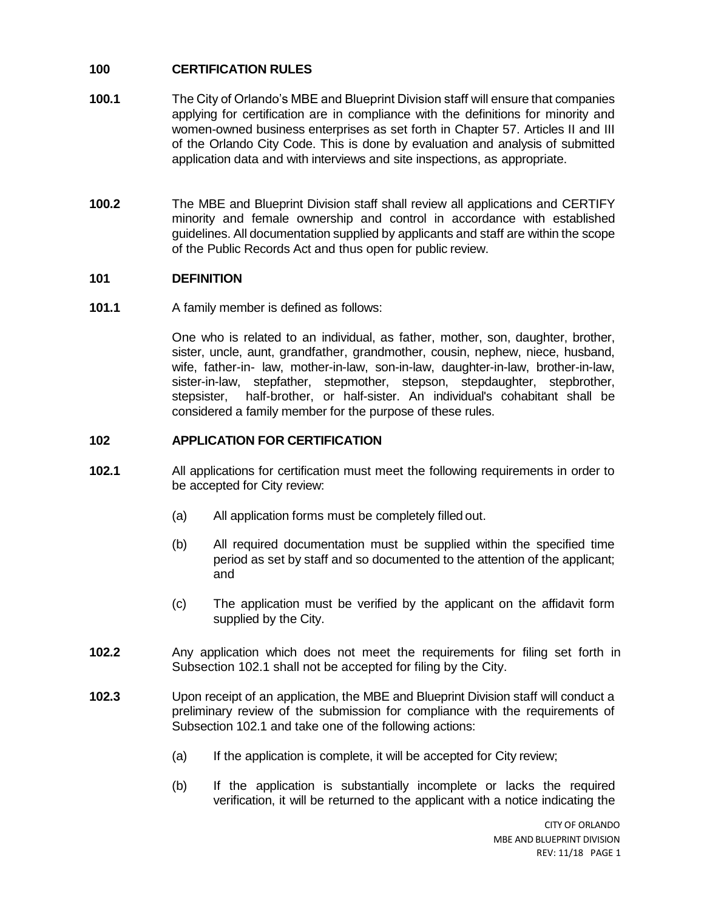# **100 CERTIFICATION RULES**

- **100.1** The City of Orlando's MBE and Blueprint Division staff will ensure that companies applying for certification are in compliance with the definitions for minority and women-owned business enterprises as set forth in Chapter 57. Articles II and III of the Orlando City Code. This is done by evaluation and analysis of submitted application data and with interviews and site inspections, as appropriate.
- **100.2** The MBE and Blueprint Division staff shall review all applications and CERTIFY minority and female ownership and control in accordance with established guidelines. All documentation supplied by applicants and staff are within the scope of the Public Records Act and thus open for public review.

## **101 DEFINITION**

**101.1** A family member is defined as follows:

One who is related to an individual, as father, mother, son, daughter, brother, sister, uncle, aunt, grandfather, grandmother, cousin, nephew, niece, husband, wife, father-in- law, mother-in-law, son-in-law, daughter-in-law, brother-in-law, sister-in-law, stepfather, stepmother, stepson, stepdaughter, stepbrother, stepsister, half-brother, or half-sister. An individual's cohabitant shall be considered a family member for the purpose of these rules.

# **102 APPLICATION FOR CERTIFICATION**

- **102.1** All applications for certification must meet the following requirements in order to be accepted for City review:
	- (a) All application forms must be completely filled out.
	- (b) All required documentation must be supplied within the specified time period as set by staff and so documented to the attention of the applicant; and
	- (c) The application must be verified by the applicant on the affidavit form supplied by the City.
- **102.2** Any application which does not meet the requirements for filing set forth in Subsection 102.1 shall not be accepted for filing by the City.
- **102.3** Upon receipt of an application, the MBE and Blueprint Division staff will conduct a preliminary review of the submission for compliance with the requirements of Subsection 102.1 and take one of the following actions:
	- (a) If the application is complete, it will be accepted for City review;
	- (b) If the application is substantially incomplete or lacks the required verification, it will be returned to the applicant with a notice indicating the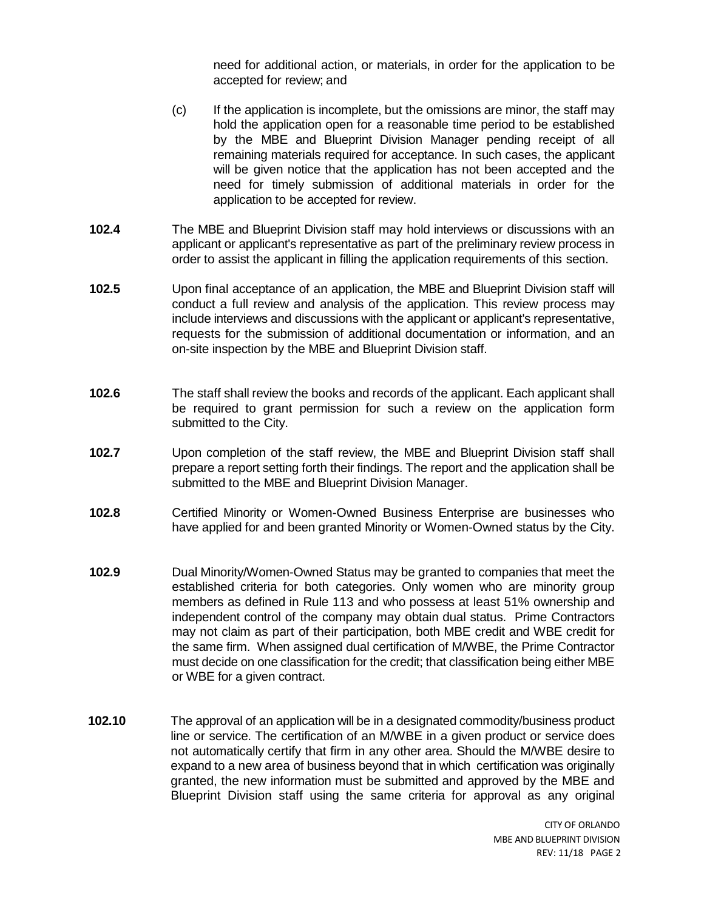need for additional action, or materials, in order for the application to be accepted for review; and

- (c) If the application is incomplete, but the omissions are minor, the staff may hold the application open for a reasonable time period to be established by the MBE and Blueprint Division Manager pending receipt of all remaining materials required for acceptance. In such cases, the applicant will be given notice that the application has not been accepted and the need for timely submission of additional materials in order for the application to be accepted for review.
- **102.4** The MBE and Blueprint Division staff may hold interviews or discussions with an applicant or applicant's representative as part of the preliminary review process in order to assist the applicant in filling the application requirements of this section.
- **102.5** Upon final acceptance of an application, the MBE and Blueprint Division staff will conduct a full review and analysis of the application. This review process may include interviews and discussions with the applicant or applicant's representative, requests for the submission of additional documentation or information, and an on-site inspection by the MBE and Blueprint Division staff.
- **102.6** The staff shall review the books and records of the applicant. Each applicant shall be required to grant permission for such a review on the application form submitted to the City.
- **102.7** Upon completion of the staff review, the MBE and Blueprint Division staff shall prepare a report setting forth their findings. The report and the application shall be submitted to the MBE and Blueprint Division Manager.
- **102.8** Certified Minority or Women-Owned Business Enterprise are businesses who have applied for and been granted Minority or Women-Owned status by the City.
- **102.9** Dual Minority/Women-Owned Status may be granted to companies that meet the established criteria for both categories. Only women who are minority group members as defined in Rule 113 and who possess at least 51% ownership and independent control of the company may obtain dual status. Prime Contractors may not claim as part of their participation, both MBE credit and WBE credit for the same firm. When assigned dual certification of M/WBE, the Prime Contractor must decide on one classification for the credit; that classification being either MBE or WBE for a given contract.
- **102.10** The approval of an application will be in a designated commodity/business product line or service. The certification of an M/WBE in a given product or service does not automatically certify that firm in any other area. Should the M/WBE desire to expand to a new area of business beyond that in which certification was originally granted, the new information must be submitted and approved by the MBE and Blueprint Division staff using the same criteria for approval as any original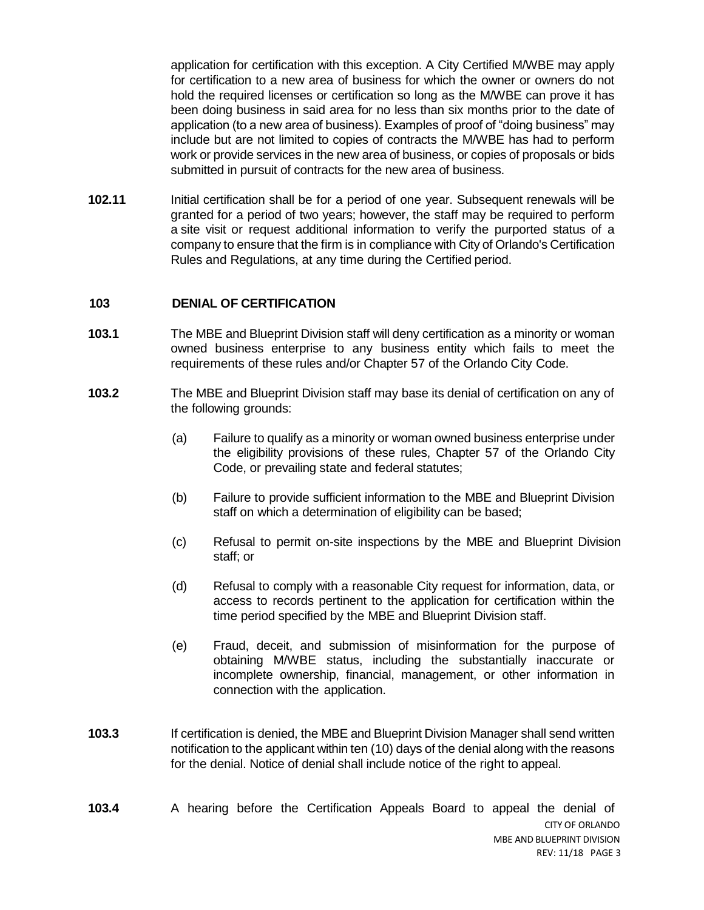application for certification with this exception. A City Certified M/WBE may apply for certification to a new area of business for which the owner or owners do not hold the required licenses or certification so long as the M/WBE can prove it has been doing business in said area for no less than six months prior to the date of application (to a new area of business). Examples of proof of "doing business" may include but are not limited to copies of contracts the M/WBE has had to perform work or provide services in the new area of business, or copies of proposals or bids submitted in pursuit of contracts for the new area of business.

**102.11** Initial certification shall be for a period of one year. Subsequent renewals will be granted for a period of two years; however, the staff may be required to perform a site visit or request additional information to verify the purported status of a company to ensure that the firm is in compliance with City of Orlando's Certification Rules and Regulations, at any time during the Certified period.

### **103 DENIAL OF CERTIFICATION**

- **103.1** The MBE and Blueprint Division staff will deny certification as a minority or woman owned business enterprise to any business entity which fails to meet the requirements of these rules and/or Chapter 57 of the Orlando City Code.
- **103.2** The MBE and Blueprint Division staff may base its denial of certification on any of the following grounds:
	- (a) Failure to qualify as a minority or woman owned business enterprise under the eligibility provisions of these rules, Chapter 57 of the Orlando City Code, or prevailing state and federal statutes;
	- (b) Failure to provide sufficient information to the MBE and Blueprint Division staff on which a determination of eligibility can be based;
	- (c) Refusal to permit on-site inspections by the MBE and Blueprint Division staff; or
	- (d) Refusal to comply with a reasonable City request for information, data, or access to records pertinent to the application for certification within the time period specified by the MBE and Blueprint Division staff.
	- (e) Fraud, deceit, and submission of misinformation for the purpose of obtaining M/WBE status, including the substantially inaccurate or incomplete ownership, financial, management, or other information in connection with the application.
- **103.3** If certification is denied, the MBE and Blueprint Division Manager shall send written notification to the applicant within ten (10) days of the denial along with the reasons for the denial. Notice of denial shall include notice of the right to appeal.
- CITY OF ORLANDO MBE AND BLUEPRINT DIVISION REV: 11/18 PAGE 3 **103.4** A hearing before the Certification Appeals Board to appeal the denial of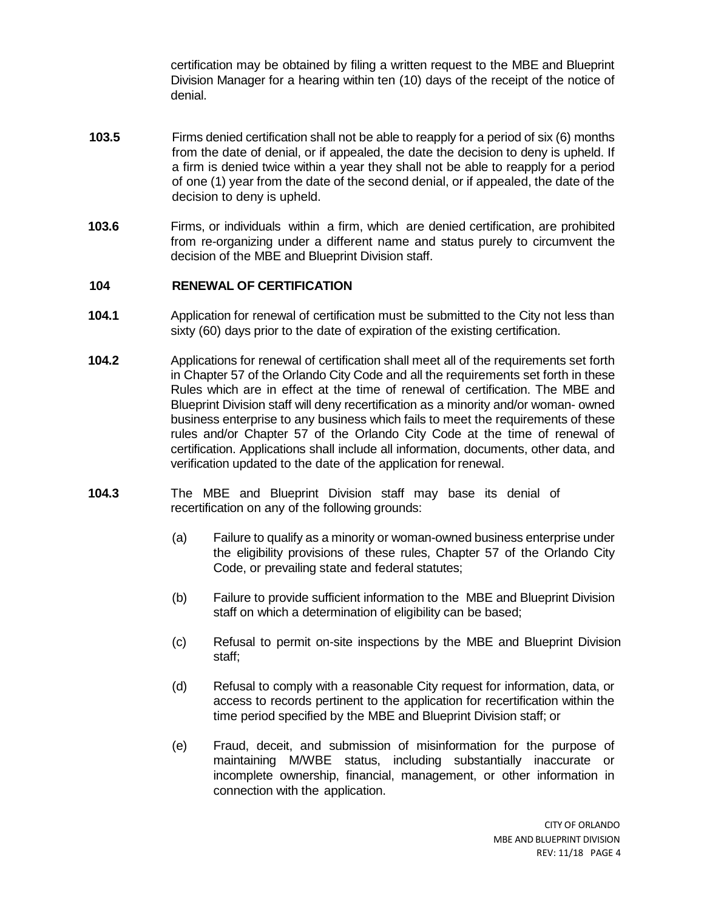certification may be obtained by filing a written request to the MBE and Blueprint Division Manager for a hearing within ten (10) days of the receipt of the notice of denial.

- **103.5** Firms denied certification shall not be able to reapply for a period of six (6) months from the date of denial, or if appealed, the date the decision to deny is upheld. If a firm is denied twice within a year they shall not be able to reapply for a period of one (1) year from the date of the second denial, or if appealed, the date of the decision to deny is upheld.
- **103.6** Firms, or individuals within a firm, which are denied certification, are prohibited from re-organizing under a different name and status purely to circumvent the decision of the MBE and Blueprint Division staff.

### **104 RENEWAL OF CERTIFICATION**

- **104.1** Application for renewal of certification must be submitted to the City not less than sixty (60) days prior to the date of expiration of the existing certification.
- **104.2** Applications for renewal of certification shall meet all of the requirements set forth in Chapter 57 of the Orlando City Code and all the requirements set forth in these Rules which are in effect at the time of renewal of certification. The MBE and Blueprint Division staff will deny recertification as a minority and/or woman- owned business enterprise to any business which fails to meet the requirements of these rules and/or Chapter 57 of the Orlando City Code at the time of renewal of certification. Applications shall include all information, documents, other data, and verification updated to the date of the application for renewal.
- **104.3** The MBE and Blueprint Division staff may base its denial of recertification on any of the following grounds:
	- (a) Failure to qualify as a minority or woman-owned business enterprise under the eligibility provisions of these rules, Chapter 57 of the Orlando City Code, or prevailing state and federal statutes;
	- (b) Failure to provide sufficient information to the MBE and Blueprint Division staff on which a determination of eligibility can be based;
	- (c) Refusal to permit on-site inspections by the MBE and Blueprint Division staff;
	- (d) Refusal to comply with a reasonable City request for information, data, or access to records pertinent to the application for recertification within the time period specified by the MBE and Blueprint Division staff; or
	- (e) Fraud, deceit, and submission of misinformation for the purpose of maintaining M/WBE status, including substantially inaccurate or incomplete ownership, financial, management, or other information in connection with the application.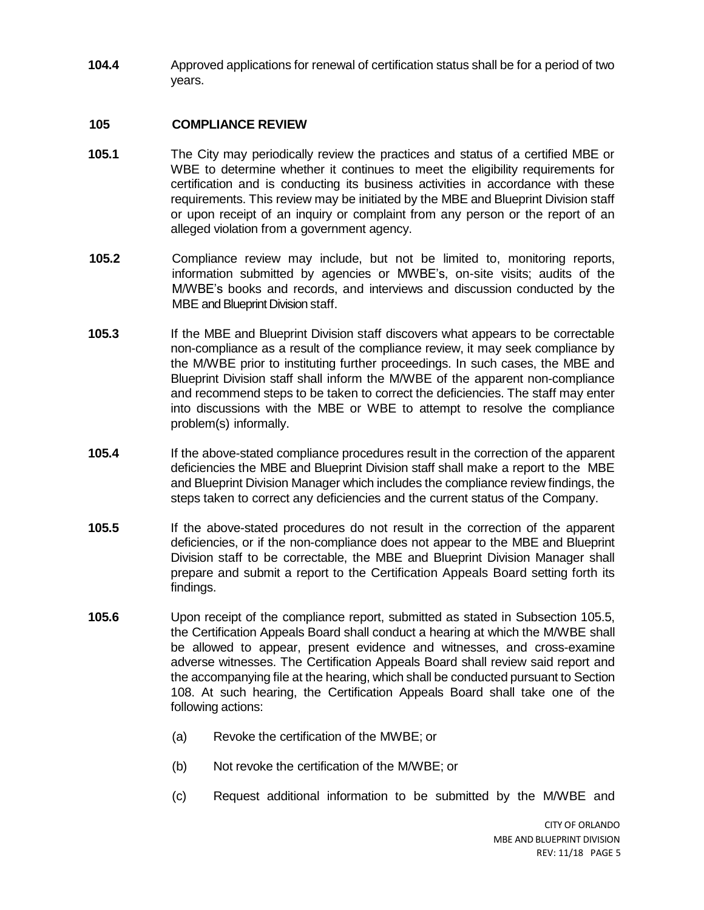**104.4** Approved applications for renewal of certification status shall be for a period of two years.

## **105 COMPLIANCE REVIEW**

- **105.1** The City may periodically review the practices and status of a certified MBE or WBE to determine whether it continues to meet the eligibility requirements for certification and is conducting its business activities in accordance with these requirements. This review may be initiated by the MBE and Blueprint Division staff or upon receipt of an inquiry or complaint from any person or the report of an alleged violation from a government agency.
- **105.2** Compliance review may include, but not be limited to, monitoring reports, information submitted by agencies or MWBE's, on-site visits; audits of the M/WBE's books and records, and interviews and discussion conducted by the MBE and Blueprint Division staff.
- **105.3** If the MBE and Blueprint Division staff discovers what appears to be correctable non-compliance as a result of the compliance review, it may seek compliance by the M/WBE prior to instituting further proceedings. In such cases, the MBE and Blueprint Division staff shall inform the M/WBE of the apparent non-compliance and recommend steps to be taken to correct the deficiencies. The staff may enter into discussions with the MBE or WBE to attempt to resolve the compliance problem(s) informally.
- **105.4** If the above-stated compliance procedures result in the correction of the apparent deficiencies the MBE and Blueprint Division staff shall make a report to the MBE and Blueprint Division Manager which includes the compliance review findings, the steps taken to correct any deficiencies and the current status of the Company.
- **105.5** If the above-stated procedures do not result in the correction of the apparent deficiencies, or if the non-compliance does not appear to the MBE and Blueprint Division staff to be correctable, the MBE and Blueprint Division Manager shall prepare and submit a report to the Certification Appeals Board setting forth its findings.
- **105.6** Upon receipt of the compliance report, submitted as stated in Subsection 105.5, the Certification Appeals Board shall conduct a hearing at which the M/WBE shall be allowed to appear, present evidence and witnesses, and cross-examine adverse witnesses. The Certification Appeals Board shall review said report and the accompanying file at the hearing, which shall be conducted pursuant to Section 108. At such hearing, the Certification Appeals Board shall take one of the following actions:
	- (a) Revoke the certification of the MWBE; or
	- (b) Not revoke the certification of the M/WBE; or
	- (c) Request additional information to be submitted by the M/WBE and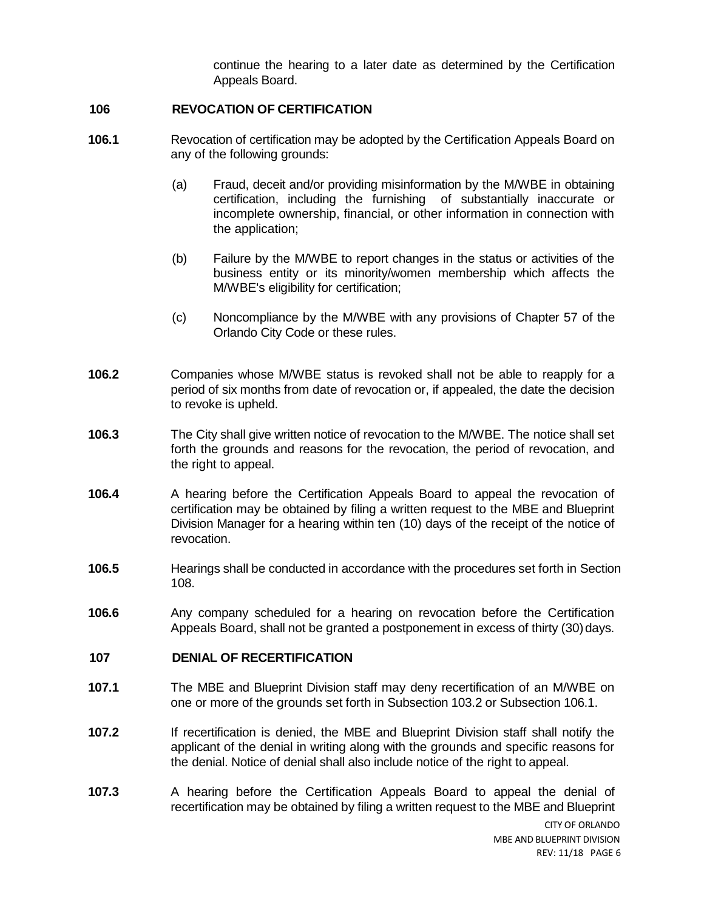continue the hearing to a later date as determined by the Certification Appeals Board.

#### **106 REVOCATION OF CERTIFICATION**

- **106.1** Revocation of certification may be adopted by the Certification Appeals Board on any of the following grounds:
	- (a) Fraud, deceit and/or providing misinformation by the M/WBE in obtaining certification, including the furnishing of substantially inaccurate or incomplete ownership, financial, or other information in connection with the application;
	- (b) Failure by the M/WBE to report changes in the status or activities of the business entity or its minority/women membership which affects the M/WBE's eligibility for certification;
	- (c) Noncompliance by the M/WBE with any provisions of Chapter 57 of the Orlando City Code or these rules.
- **106.2** Companies whose M/WBE status is revoked shall not be able to reapply for a period of six months from date of revocation or, if appealed, the date the decision to revoke is upheld.
- **106.3** The City shall give written notice of revocation to the M/WBE. The notice shall set forth the grounds and reasons for the revocation, the period of revocation, and the right to appeal.
- **106.4** A hearing before the Certification Appeals Board to appeal the revocation of certification may be obtained by filing a written request to the MBE and Blueprint Division Manager for a hearing within ten (10) days of the receipt of the notice of revocation.
- **106.5** Hearings shall be conducted in accordance with the procedures set forth in Section 108.
- **106.6** Any company scheduled for a hearing on revocation before the Certification Appeals Board, shall not be granted a postponement in excess of thirty (30)days.

## **107 DENIAL OF RECERTIFICATION**

- **107.1** The MBE and Blueprint Division staff may deny recertification of an M/WBE on one or more of the grounds set forth in Subsection 103.2 or Subsection 106.1.
- **107.2** If recertification is denied, the MBE and Blueprint Division staff shall notify the applicant of the denial in writing along with the grounds and specific reasons for the denial. Notice of denial shall also include notice of the right to appeal.
- **107.3** A hearing before the Certification Appeals Board to appeal the denial of recertification may be obtained by filing a written request to the MBE and Blueprint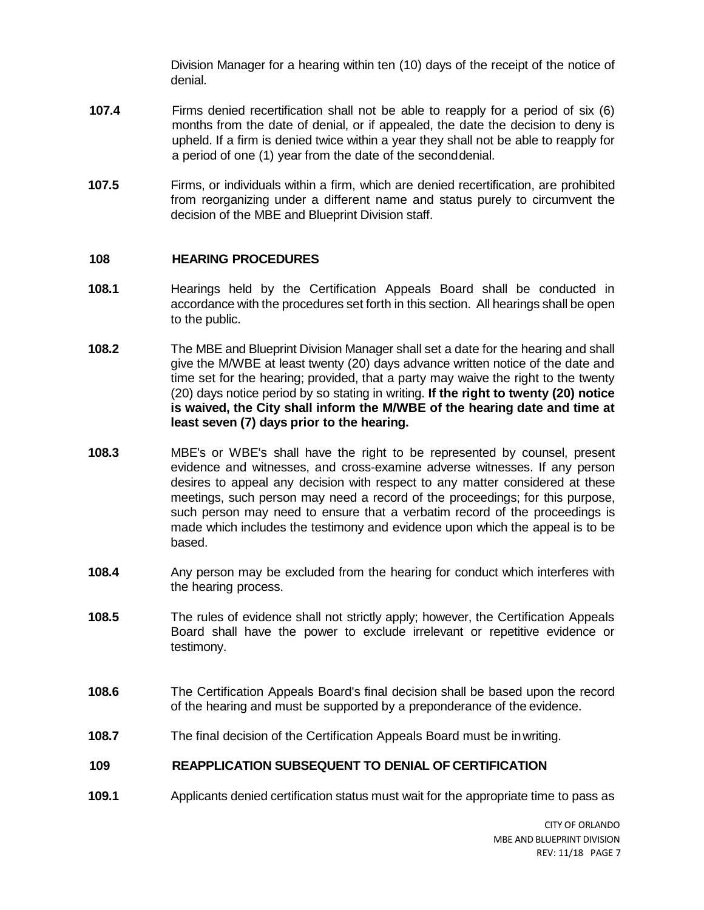Division Manager for a hearing within ten (10) days of the receipt of the notice of denial.

- **107.4** Firms denied recertification shall not be able to reapply for a period of six (6) months from the date of denial, or if appealed, the date the decision to deny is upheld. If a firm is denied twice within a year they shall not be able to reapply for a period of one (1) year from the date of the seconddenial.
- **107.5** Firms, or individuals within a firm, which are denied recertification, are prohibited from reorganizing under a different name and status purely to circumvent the decision of the MBE and Blueprint Division staff.

### **108 HEARING PROCEDURES**

- **108.1** Hearings held by the Certification Appeals Board shall be conducted in accordance with the procedures set forth in this section. All hearings shall be open to the public.
- **108.2** The MBE and Blueprint Division Manager shall set a date for the hearing and shall give the M/WBE at least twenty (20) days advance written notice of the date and time set for the hearing; provided, that a party may waive the right to the twenty (20) days notice period by so stating in writing. **If the right to twenty (20) notice is waived, the City shall inform the M/WBE of the hearing date and time at least seven (7) days prior to the hearing.**
- **108.3** MBE's or WBE's shall have the right to be represented by counsel, present evidence and witnesses, and cross-examine adverse witnesses. If any person desires to appeal any decision with respect to any matter considered at these meetings, such person may need a record of the proceedings; for this purpose, such person may need to ensure that a verbatim record of the proceedings is made which includes the testimony and evidence upon which the appeal is to be based.
- **108.4** Any person may be excluded from the hearing for conduct which interferes with the hearing process.
- **108.5** The rules of evidence shall not strictly apply; however, the Certification Appeals Board shall have the power to exclude irrelevant or repetitive evidence or testimony.
- **108.6** The Certification Appeals Board's final decision shall be based upon the record of the hearing and must be supported by a preponderance of the evidence.
- **108.7** The final decision of the Certification Appeals Board must be inwriting.

## **109 REAPPLICATION SUBSEQUENT TO DENIAL OF CERTIFICATION**

**109.1** Applicants denied certification status must wait for the appropriate time to pass as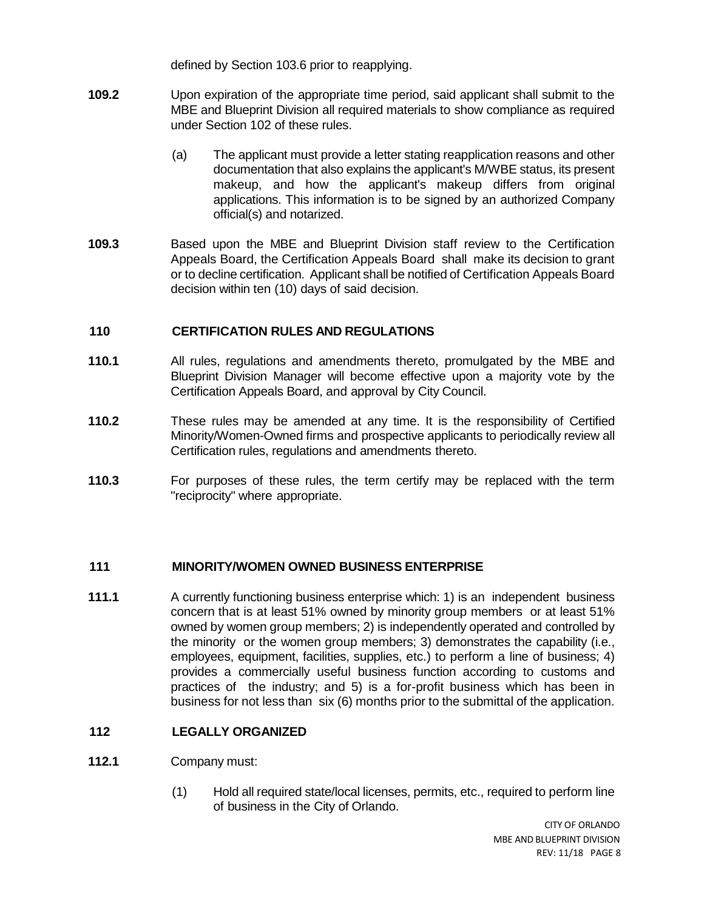defined by Section 103.6 prior to reapplying.

- **109.2** Upon expiration of the appropriate time period, said applicant shall submit to the MBE and Blueprint Division all required materials to show compliance as required under Section 102 of these rules.
	- (a) The applicant must provide a letter stating reapplication reasons and other documentation that also explains the applicant's M/WBE status, its present makeup, and how the applicant's makeup differs from original applications. This information is to be signed by an authorized Company official(s) and notarized.
- **109.3** Based upon the MBE and Blueprint Division staff review to the Certification Appeals Board, the Certification Appeals Board shall make its decision to grant or to decline certification. Applicant shall be notified of Certification Appeals Board decision within ten (10) days of said decision.

### **110 CERTIFICATION RULES AND REGULATIONS**

- **110.1** All rules, regulations and amendments thereto, promulgated by the MBE and Blueprint Division Manager will become effective upon a majority vote by the Certification Appeals Board, and approval by City Council.
- **110.2** These rules may be amended at any time. It is the responsibility of Certified Minority/Women-Owned firms and prospective applicants to periodically review all Certification rules, regulations and amendments thereto.
- **110.3** For purposes of these rules, the term certify may be replaced with the term "reciprocity" where appropriate.

#### **111 MINORITY/WOMEN OWNED BUSINESS ENTERPRISE**

**111.1** A currently functioning business enterprise which: 1) is an independent business concern that is at least 51% owned by minority group members or at least 51% owned by women group members; 2) is independently operated and controlled by the minority or the women group members; 3) demonstrates the capability (i.e., employees, equipment, facilities, supplies, etc.) to perform a line of business; 4) provides a commercially useful business function according to customs and practices of the industry; and 5) is a for-profit business which has been in business for not less than six (6) months prior to the submittal of the application.

## **112 LEGALLY ORGANIZED**

- **112.1** Company must:
	- (1) Hold all required state/local licenses, permits, etc., required to perform line of business in the City of Orlando.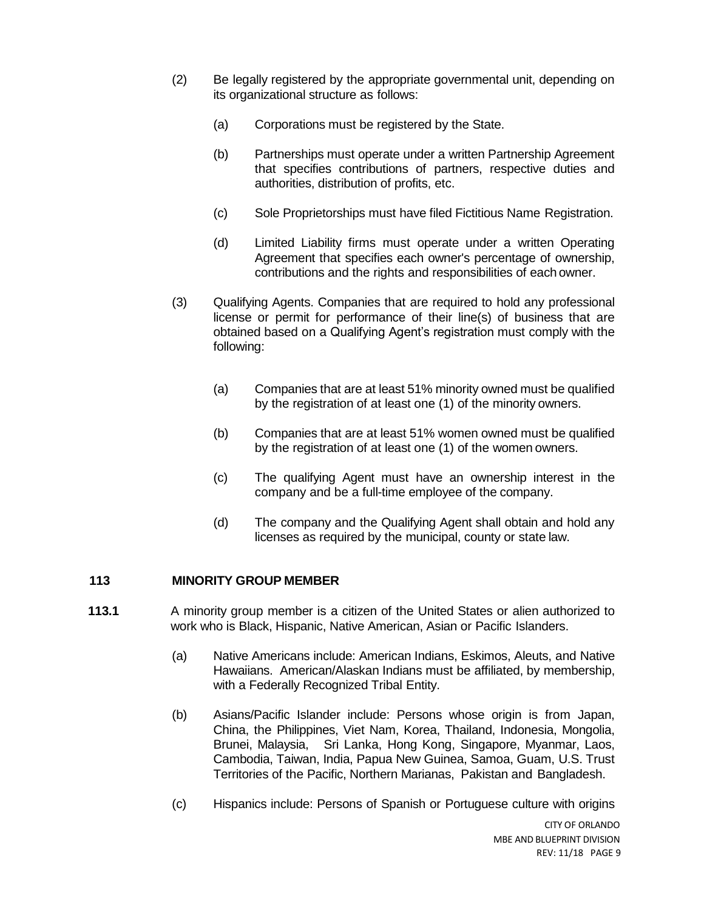- (2) Be legally registered by the appropriate governmental unit, depending on its organizational structure as follows:
	- (a) Corporations must be registered by the State.
	- (b) Partnerships must operate under a written Partnership Agreement that specifies contributions of partners, respective duties and authorities, distribution of profits, etc.
	- (c) Sole Proprietorships must have filed Fictitious Name Registration.
	- (d) Limited Liability firms must operate under a written Operating Agreement that specifies each owner's percentage of ownership, contributions and the rights and responsibilities of each owner.
- (3) Qualifying Agents. Companies that are required to hold any professional license or permit for performance of their line(s) of business that are obtained based on a Qualifying Agent's registration must comply with the following:
	- (a) Companies that are at least 51% minority owned must be qualified by the registration of at least one (1) of the minority owners.
	- (b) Companies that are at least 51% women owned must be qualified by the registration of at least one (1) of the women owners.
	- (c) The qualifying Agent must have an ownership interest in the company and be a full-time employee of the company.
	- (d) The company and the Qualifying Agent shall obtain and hold any licenses as required by the municipal, county or state law.

## **113 MINORITY GROUP MEMBER**

- **113.1** A minority group member is a citizen of the United States or alien authorized to work who is Black, Hispanic, Native American, Asian or Pacific Islanders.
	- (a) Native Americans include: American Indians, Eskimos, Aleuts, and Native Hawaiians. American/Alaskan Indians must be affiliated, by membership, with a Federally Recognized Tribal Entity.
	- (b) Asians/Pacific Islander include: Persons whose origin is from Japan, China, the Philippines, Viet Nam, Korea, Thailand, Indonesia, Mongolia, Brunei, Malaysia, Sri Lanka, Hong Kong, Singapore, Myanmar, Laos, Cambodia, Taiwan, India, Papua New Guinea, Samoa, Guam, U.S. Trust Territories of the Pacific, Northern Marianas, Pakistan and Bangladesh.
	- (c) Hispanics include: Persons of Spanish or Portuguese culture with origins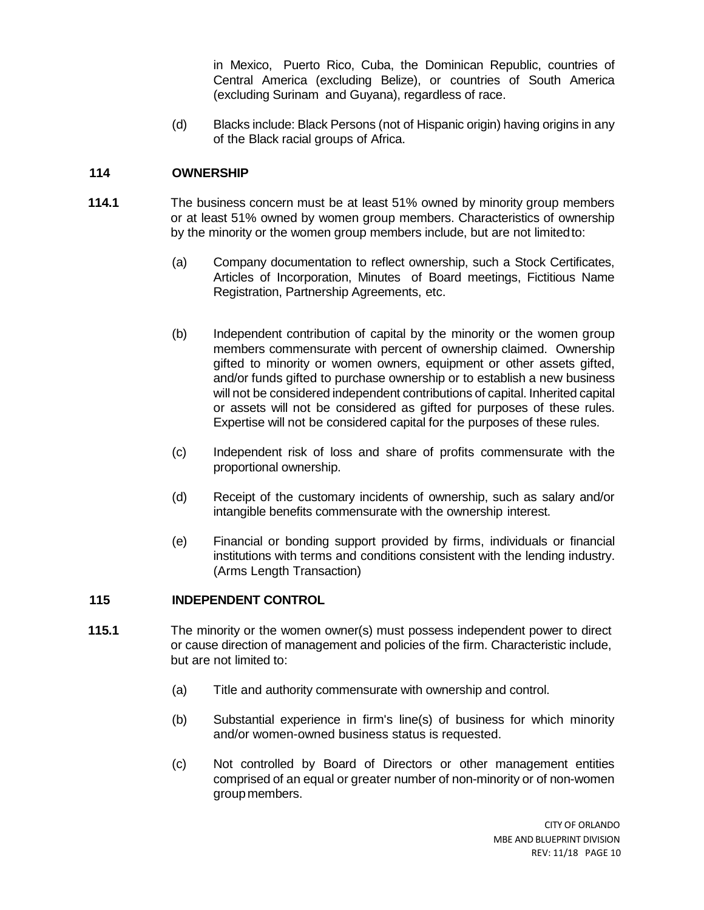in Mexico, Puerto Rico, Cuba, the Dominican Republic, countries of Central America (excluding Belize), or countries of South America (excluding Surinam and Guyana), regardless of race.

(d) Blacks include: Black Persons (not of Hispanic origin) having origins in any of the Black racial groups of Africa.

## **114 OWNERSHIP**

- **114.1** The business concern must be at least 51% owned by minority group members or at least 51% owned by women group members. Characteristics of ownership by the minority or the women group members include, but are not limitedto:
	- (a) Company documentation to reflect ownership, such a Stock Certificates, Articles of Incorporation, Minutes of Board meetings, Fictitious Name Registration, Partnership Agreements, etc.
	- (b) Independent contribution of capital by the minority or the women group members commensurate with percent of ownership claimed. Ownership gifted to minority or women owners, equipment or other assets gifted, and/or funds gifted to purchase ownership or to establish a new business will not be considered independent contributions of capital. Inherited capital or assets will not be considered as gifted for purposes of these rules. Expertise will not be considered capital for the purposes of these rules.
	- (c) Independent risk of loss and share of profits commensurate with the proportional ownership.
	- (d) Receipt of the customary incidents of ownership, such as salary and/or intangible benefits commensurate with the ownership interest.
	- (e) Financial or bonding support provided by firms, individuals or financial institutions with terms and conditions consistent with the lending industry. (Arms Length Transaction)

# **115 INDEPENDENT CONTROL**

- **115.1** The minority or the women owner(s) must possess independent power to direct or cause direction of management and policies of the firm. Characteristic include, but are not limited to:
	- (a) Title and authority commensurate with ownership and control.
	- (b) Substantial experience in firm's line(s) of business for which minority and/or women-owned business status is requested.
	- (c) Not controlled by Board of Directors or other management entities comprised of an equal or greater number of non-minority or of non-women group members.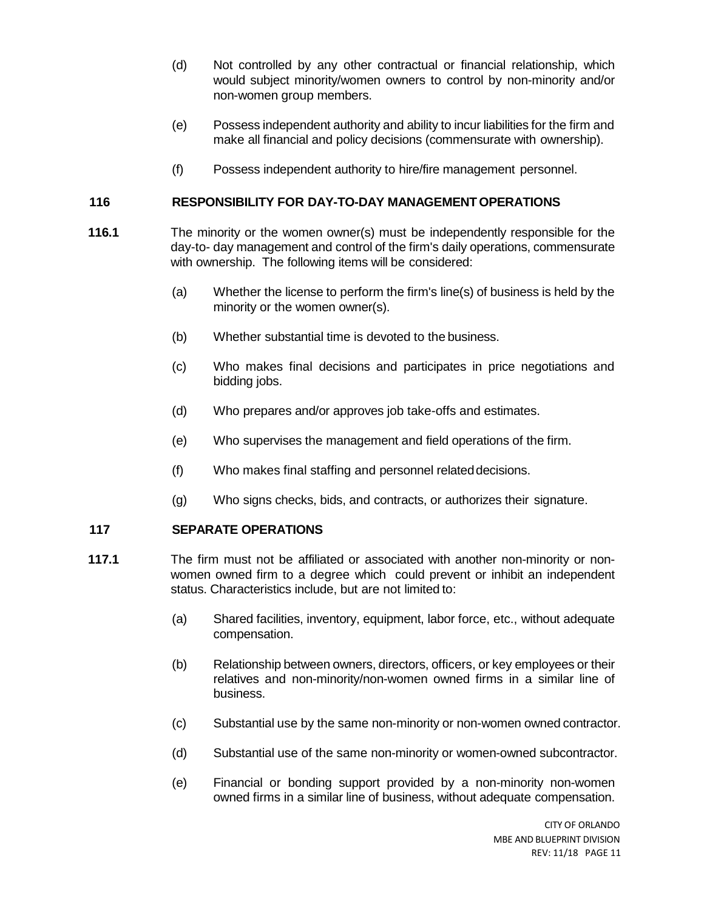- (d) Not controlled by any other contractual or financial relationship, which would subject minority/women owners to control by non-minority and/or non-women group members.
- (e) Possess independent authority and ability to incur liabilities for the firm and make all financial and policy decisions (commensurate with ownership).
- (f) Possess independent authority to hire/fire management personnel.

# **116 RESPONSIBILITY FOR DAY-TO-DAY MANAGEMENT OPERATIONS**

- **116.1** The minority or the women owner(s) must be independently responsible for the day-to- day management and control of the firm's daily operations, commensurate with ownership. The following items will be considered:
	- (a) Whether the license to perform the firm's line(s) of business is held by the minority or the women owner(s).
	- (b) Whether substantial time is devoted to the business.
	- (c) Who makes final decisions and participates in price negotiations and bidding jobs.
	- (d) Who prepares and/or approves job take-offs and estimates.
	- (e) Who supervises the management and field operations of the firm.
	- (f) Who makes final staffing and personnel relateddecisions.
	- (g) Who signs checks, bids, and contracts, or authorizes their signature.

# **117 SEPARATE OPERATIONS**

- **117.1** The firm must not be affiliated or associated with another non-minority or nonwomen owned firm to a degree which could prevent or inhibit an independent status. Characteristics include, but are not limited to:
	- (a) Shared facilities, inventory, equipment, labor force, etc., without adequate compensation.
	- (b) Relationship between owners, directors, officers, or key employees or their relatives and non-minority/non-women owned firms in a similar line of business.
	- (c) Substantial use by the same non-minority or non-women owned contractor.
	- (d) Substantial use of the same non-minority or women-owned subcontractor.
	- (e) Financial or bonding support provided by a non-minority non-women owned firms in a similar line of business, without adequate compensation.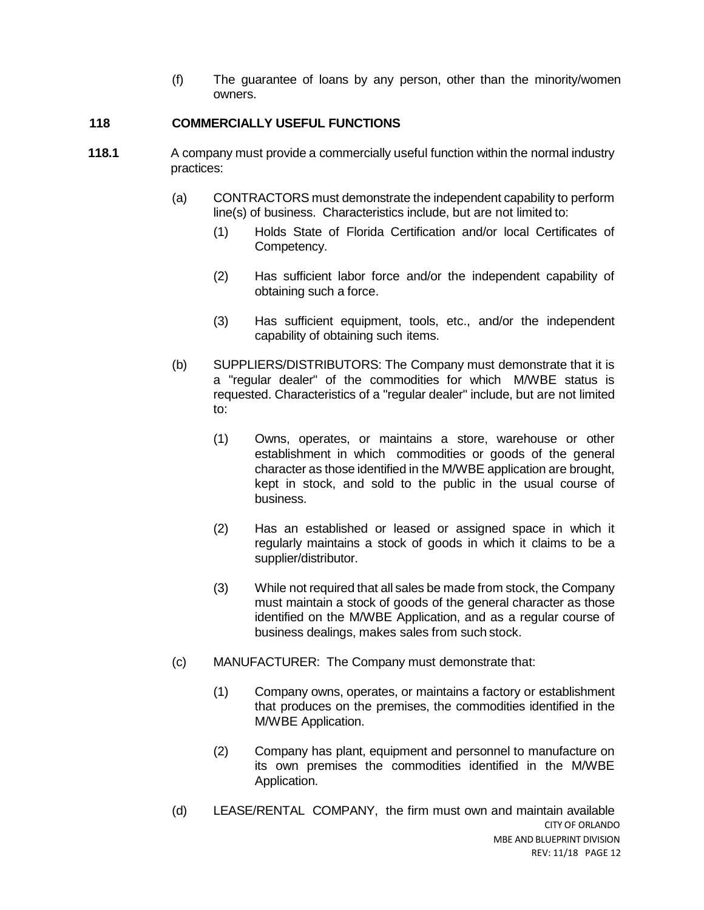(f) The guarantee of loans by any person, other than the minority/women owners.

## **118 COMMERCIALLY USEFUL FUNCTIONS**

- **118.1** A company must provide a commercially useful function within the normal industry practices:
	- (a) CONTRACTORS must demonstrate the independent capability to perform line(s) of business. Characteristics include, but are not limited to:
		- (1) Holds State of Florida Certification and/or local Certificates of Competency.
		- (2) Has sufficient labor force and/or the independent capability of obtaining such a force.
		- (3) Has sufficient equipment, tools, etc., and/or the independent capability of obtaining such items.
	- (b) SUPPLIERS/DISTRIBUTORS: The Company must demonstrate that it is a "regular dealer" of the commodities for which M/WBE status is requested. Characteristics of a "regular dealer" include, but are not limited to:
		- (1) Owns, operates, or maintains a store, warehouse or other establishment in which commodities or goods of the general character as those identified in the M/WBE application are brought, kept in stock, and sold to the public in the usual course of business.
		- (2) Has an established or leased or assigned space in which it regularly maintains a stock of goods in which it claims to be a supplier/distributor.
		- (3) While not required that all sales be made from stock, the Company must maintain a stock of goods of the general character as those identified on the M/WBE Application, and as a regular course of business dealings, makes sales from such stock.
	- (c) MANUFACTURER: The Company must demonstrate that:
		- (1) Company owns, operates, or maintains a factory or establishment that produces on the premises, the commodities identified in the M/WBE Application.
		- (2) Company has plant, equipment and personnel to manufacture on its own premises the commodities identified in the M/WBE Application.
	- CITY OF ORLANDO MBE AND BLUEPRINT DIVISION REV: 11/18 PAGE 12 (d) LEASE/RENTAL COMPANY, the firm must own and maintain available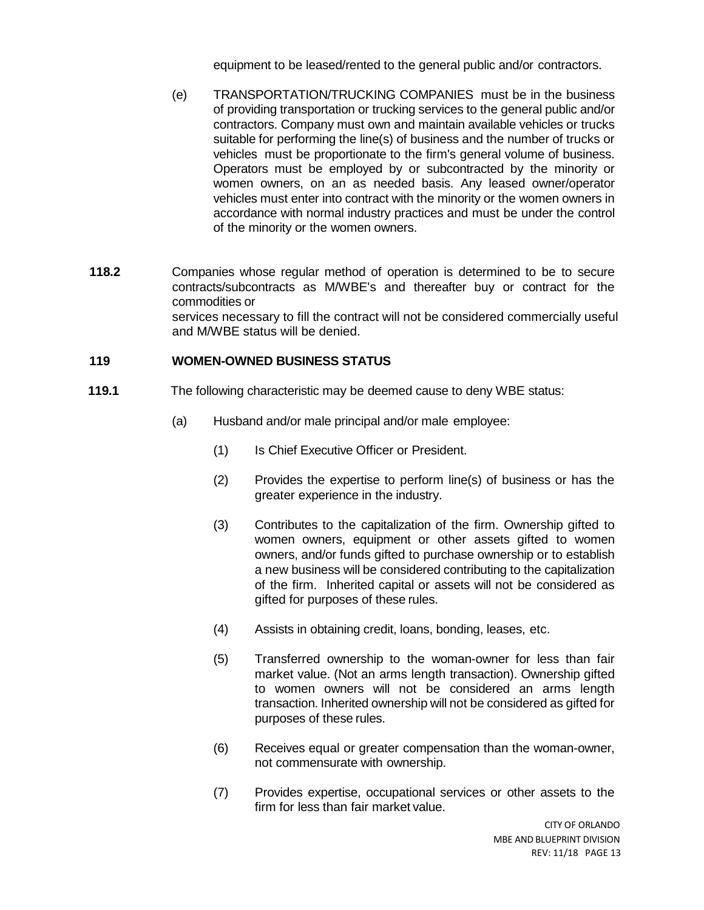equipment to be leased/rented to the general public and/or contractors.

- (e) TRANSPORTATION/TRUCKING COMPANIES must be in the business of providing transportation or trucking services to the general public and/or contractors. Company must own and maintain available vehicles or trucks suitable for performing the line(s) of business and the number of trucks or vehicles must be proportionate to the firm's general volume of business. Operators must be employed by or subcontracted by the minority or women owners, on an as needed basis. Any leased owner/operator vehicles must enter into contract with the minority or the women owners in accordance with normal industry practices and must be under the control of the minority or the women owners.
- **118.2** Companies whose regular method of operation is determined to be to secure contracts/subcontracts as M/WBE's and thereafter buy or contract for the commodities or services necessary to fill the contract will not be considered commercially useful and M/WBE status will be denied.

## **119 WOMEN-OWNED BUSINESS STATUS**

- **119.1** The following characteristic may be deemed cause to deny WBE status:
	- (a) Husband and/or male principal and/or male employee:
		- (1) Is Chief Executive Officer or President.
		- (2) Provides the expertise to perform line(s) of business or has the greater experience in the industry.
		- (3) Contributes to the capitalization of the firm. Ownership gifted to women owners, equipment or other assets gifted to women owners, and/or funds gifted to purchase ownership or to establish a new business will be considered contributing to the capitalization of the firm. Inherited capital or assets will not be considered as gifted for purposes of these rules.
		- (4) Assists in obtaining credit, loans, bonding, leases, etc.
		- (5) Transferred ownership to the woman-owner for less than fair market value. (Not an arms length transaction). Ownership gifted to women owners will not be considered an arms length transaction. Inherited ownership will not be considered as gifted for purposes of these rules.
		- (6) Receives equal or greater compensation than the woman-owner, not commensurate with ownership.
		- (7) Provides expertise, occupational services or other assets to the firm for less than fair market value.